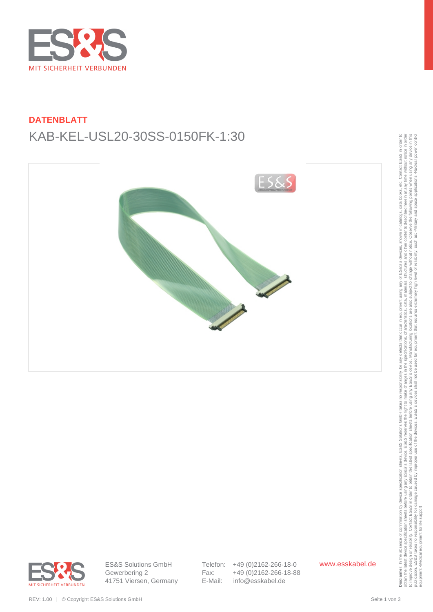

# **DATENBLATT** KAB-KEL-USL20-30SS-0150FK-1:30





ES&S Solutions GmbH Gewerbering 2 41751 Viersen, Germany Telefon: +49 (0)2162-266-18-0 Fax: +49 (0)2162-266-18-88 E-Mail: info@esskabel.de

www.esskabel.de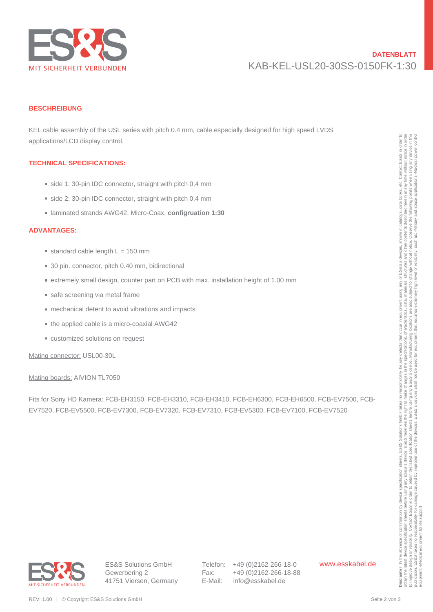

## **DATENBLATT** KAB-KEL-USL20-30SS-0150FK-1:30

#### **BESCHREIBUNG**

KEL cable assembly of the USL series with pitch 0.4 mm, cable especially designed for high speed LVDS applications/LCD display control.

#### **TECHNICAL SPECIFICATIONS:**

- side 1: 30-pin IDC connector, straight with pitch 0,4 mm
- side 2: 30-pin IDC connector, straight with pitch 0,4 mm
- laminated strands AWG42, Micro-Coax, **configruation 1:30**

#### **ADVANTAGES:**

- $\blacksquare$  standard cable length L = 150 mm
- 30 pin. connector, pitch 0.40 mm, bidirectional
- extremely small design, counter part on PCB with max. installation height of 1.00 mm
- safe screening via metal frame
- mechanical detent to avoid vibrations and impacts
- the applied cable is a micro-coaxial AWG42
- customized solutions on request

Mating connector: USL00-30L

Mating boards: AIVION TL7050

Fits for Sony HD Kamera: FCB-EH3150, FCB-EH3310, FCB-EH3410, FCB-EH6300, FCB-EH6500, FCB-EV7500, FCB-EV7520, FCB-EV5500, FCB-EV7300, FCB-EV7320, FCB-EV7310, FCB-EV5300, FCB-EV7100, FCB-EV7520 apolisalione LCD dilelay opinice.<br>
• 608 1:30-51 (IDC connection, streamly with pixel 0.0 4 mm<br>
• 608 2:30-61 (IDC connection, streamly with pixel 0.0 4 mm<br>
• Invitewated streamles hereby L = 150 mm<br>
• Invitewated streaml



Telefon: +49 (0)2162-266-18-0 Fax: +49 (0)2162-266-18-88 E-Mail: info@esskabel.de

www.esskabel.de